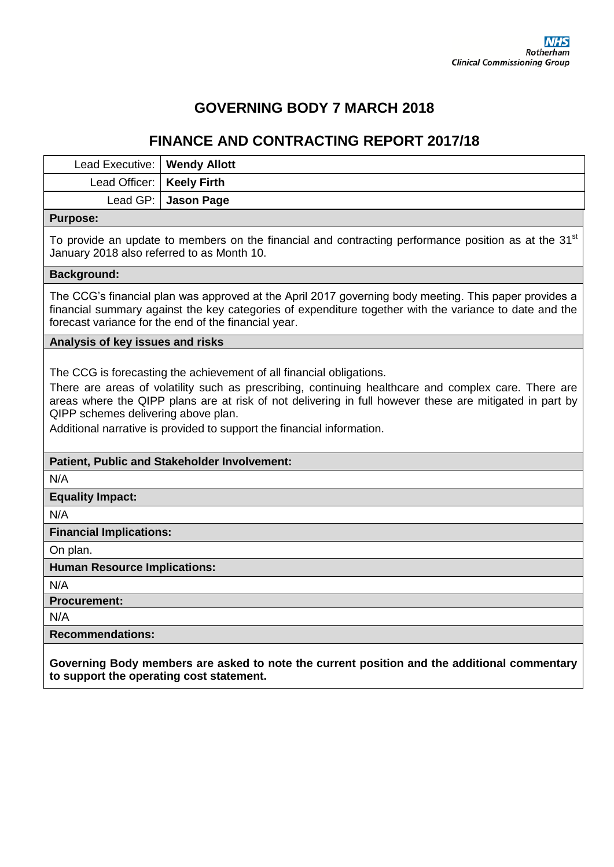# **GOVERNING BODY 7 MARCH 2018**

# **FINANCE AND CONTRACTING REPORT 2017/18**

| Lead Executive:                                                                                                                                                | <b>Wendy Allott</b>                                                                                                                                                                                                                                                                                                                                                                                      |  |  |  |  |  |  |
|----------------------------------------------------------------------------------------------------------------------------------------------------------------|----------------------------------------------------------------------------------------------------------------------------------------------------------------------------------------------------------------------------------------------------------------------------------------------------------------------------------------------------------------------------------------------------------|--|--|--|--|--|--|
| Lead Officer:                                                                                                                                                  | <b>Keely Firth</b>                                                                                                                                                                                                                                                                                                                                                                                       |  |  |  |  |  |  |
| Lead GP:                                                                                                                                                       | <b>Jason Page</b>                                                                                                                                                                                                                                                                                                                                                                                        |  |  |  |  |  |  |
| <b>Purpose:</b>                                                                                                                                                |                                                                                                                                                                                                                                                                                                                                                                                                          |  |  |  |  |  |  |
| To provide an update to members on the financial and contracting performance position as at the 31 <sup>st</sup><br>January 2018 also referred to as Month 10. |                                                                                                                                                                                                                                                                                                                                                                                                          |  |  |  |  |  |  |
| <b>Background:</b>                                                                                                                                             |                                                                                                                                                                                                                                                                                                                                                                                                          |  |  |  |  |  |  |
|                                                                                                                                                                | The CCG's financial plan was approved at the April 2017 governing body meeting. This paper provides a<br>financial summary against the key categories of expenditure together with the variance to date and the<br>forecast variance for the end of the financial year.                                                                                                                                  |  |  |  |  |  |  |
| Analysis of key issues and risks                                                                                                                               |                                                                                                                                                                                                                                                                                                                                                                                                          |  |  |  |  |  |  |
|                                                                                                                                                                | The CCG is forecasting the achievement of all financial obligations.<br>There are areas of volatility such as prescribing, continuing healthcare and complex care. There are<br>areas where the QIPP plans are at risk of not delivering in full however these are mitigated in part by<br>QIPP schemes delivering above plan.<br>Additional narrative is provided to support the financial information. |  |  |  |  |  |  |
|                                                                                                                                                                | Patient, Public and Stakeholder Involvement:                                                                                                                                                                                                                                                                                                                                                             |  |  |  |  |  |  |
| N/A                                                                                                                                                            |                                                                                                                                                                                                                                                                                                                                                                                                          |  |  |  |  |  |  |
| <b>Equality Impact:</b>                                                                                                                                        |                                                                                                                                                                                                                                                                                                                                                                                                          |  |  |  |  |  |  |
| N/A                                                                                                                                                            |                                                                                                                                                                                                                                                                                                                                                                                                          |  |  |  |  |  |  |
| <b>Financial Implications:</b>                                                                                                                                 |                                                                                                                                                                                                                                                                                                                                                                                                          |  |  |  |  |  |  |
| On plan.                                                                                                                                                       |                                                                                                                                                                                                                                                                                                                                                                                                          |  |  |  |  |  |  |
| <b>Human Resource Implications:</b>                                                                                                                            |                                                                                                                                                                                                                                                                                                                                                                                                          |  |  |  |  |  |  |
| N/A                                                                                                                                                            |                                                                                                                                                                                                                                                                                                                                                                                                          |  |  |  |  |  |  |
| <b>Procurement:</b>                                                                                                                                            |                                                                                                                                                                                                                                                                                                                                                                                                          |  |  |  |  |  |  |
| N/A                                                                                                                                                            |                                                                                                                                                                                                                                                                                                                                                                                                          |  |  |  |  |  |  |
| <b>Recommendations:</b>                                                                                                                                        |                                                                                                                                                                                                                                                                                                                                                                                                          |  |  |  |  |  |  |
| Governing Body members are asked to note the current position and the additional commentary<br>to support the operating cost statement.                        |                                                                                                                                                                                                                                                                                                                                                                                                          |  |  |  |  |  |  |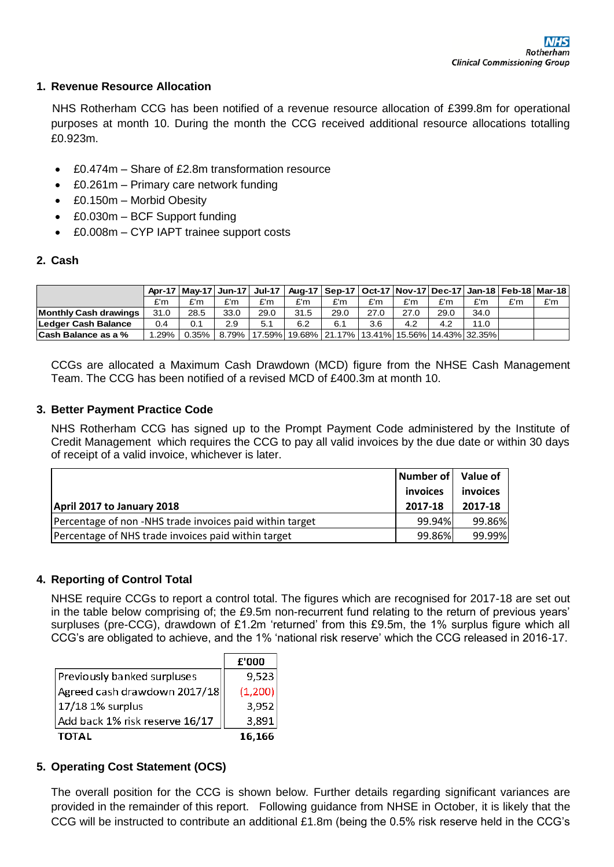#### **1. Revenue Resource Allocation**

 NHS Rotherham CCG has been notified of a revenue resource allocation of £399.8m for operational purposes at month 10. During the month the CCG received additional resource allocations totalling £0.923m.

- £0.474m Share of £2.8m transformation resource
- £0.261m Primary care network funding
- £0.150m Morbid Obesity
- £0.030m BCF Support funding
- £0.008m CYP IAPT trainee support costs

# **2. Cash**

|                            |      |          |      |      | Apr-17   May-17   Jun-17   Jul-17   Aug-17   Sep-17   Oct-17   Nov-17   Dec-17   Jan-18   Feb-18   Mar-18 |      |      |      |      |      |     |     |
|----------------------------|------|----------|------|------|-----------------------------------------------------------------------------------------------------------|------|------|------|------|------|-----|-----|
|                            | £'m  | £'m      | £'m  | £'m  | £'m                                                                                                       | £'m  | £'m  | £'m  | £'m  | £'m  | £'m | £'m |
| Monthly Cash drawings      | 31.0 | 28.5     | 33.0 | 29.0 | 31.5                                                                                                      | 29.0 | 27.0 | 27.0 | 29.0 | 34.0 |     |     |
| Ledger Cash Balance        | 0.4  | 0.1      | 2.9  | 5.1  | 6.2                                                                                                       | 6.1  | 3.6  | 4.2  | 4.2  | 11.0 |     |     |
| <b>Cash Balance as a %</b> | .29% | $0.35\%$ |      |      | 8.79%   17.59%  19.68%   21.17%   13.41%   15.56%   14.43%   32.35%                                       |      |      |      |      |      |     |     |

CCGs are allocated a Maximum Cash Drawdown (MCD) figure from the NHSE Cash Management Team. The CCG has been notified of a revised MCD of £400.3m at month 10.

### **3. Better Payment Practice Code**

NHS Rotherham CCG has signed up to the Prompt Payment Code administered by the Institute of Credit Management which requires the CCG to pay all valid invoices by the due date or within 30 days of receipt of a valid invoice, whichever is later.

|                                                         | Number of | Value of |
|---------------------------------------------------------|-----------|----------|
|                                                         | invoices  | invoices |
| April 2017 to January 2018                              | 2017-18   | 2017-18  |
| Percentage of non-NHS trade invoices paid within target | 99.94%    | 99.86%   |
| Percentage of NHS trade invoices paid within target     | 99.86%    | 99.99%   |

### **4. Reporting of Control Total**

NHSE require CCGs to report a control total. The figures which are recognised for 2017-18 are set out in the table below comprising of; the £9.5m non-recurrent fund relating to the return of previous years' surpluses (pre-CCG), drawdown of £1.2m 'returned' from this £9.5m, the 1% surplus figure which all CCG's are obligated to achieve, and the 1% 'national risk reserve' which the CCG released in 2016-17.

|                                      | £'000    |
|--------------------------------------|----------|
| Previously banked surpluses          | 9,523    |
| $ $ Agreed cash drawdown 2017/18 $ $ | (1, 200) |
| 17/18 1% surplus                     | 3,952    |
| Add back 1% risk reserve 16/17       | 3,891    |
| <b>TOTAL</b>                         | 16,166   |

### **5. Operating Cost Statement (OCS)**

The overall position for the CCG is shown below. Further details regarding significant variances are provided in the remainder of this report. Following guidance from NHSE in October, it is likely that the CCG will be instructed to contribute an additional £1.8m (being the 0.5% risk reserve held in the CCG's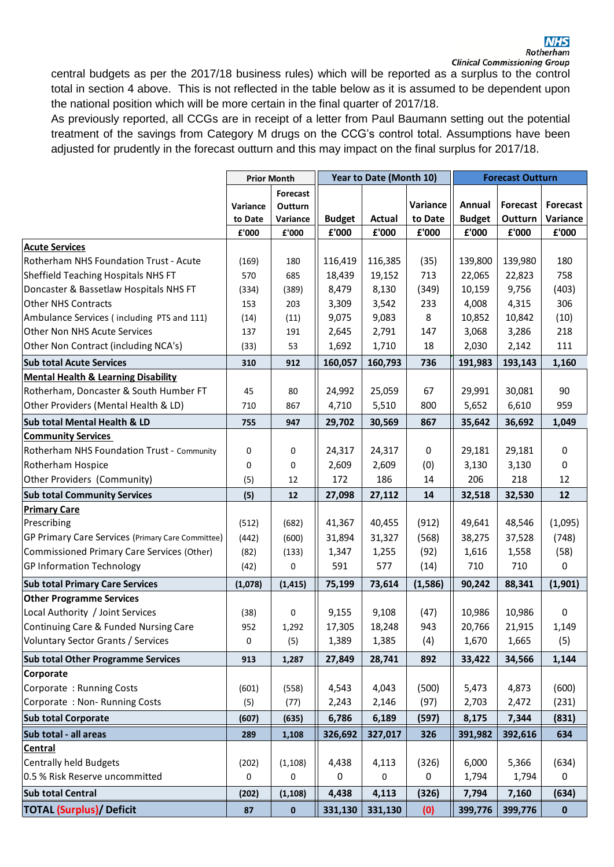#### **NHS** Rotherham

central budgets as per the 2017/18 business rules) which will be reported as a surplus to the control total in section 4 above. This is not reflected in the table below as it is assumed to be dependent upon the national position which will be more certain in the final quarter of 2017/18.

As previously reported, all CCGs are in receipt of a letter from Paul Baumann setting out the potential treatment of the savings from Category M drugs on the CCG's control total. Assumptions have been adjusted for prudently in the forecast outturn and this may impact on the final surplus for 2017/18.

| <b>Prior Month</b>                                                  | Year to Date (Month 10) |               | <b>Forecast Outturn</b> |               |                 |             |
|---------------------------------------------------------------------|-------------------------|---------------|-------------------------|---------------|-----------------|-------------|
| Forecast                                                            |                         |               |                         |               |                 |             |
| Outturn<br>Variance                                                 |                         |               | Variance                | Annual        | <b>Forecast</b> | Forecast    |
| Variance<br>to Date                                                 | <b>Budget</b>           | <b>Actual</b> | to Date                 | <b>Budget</b> | Outturn         | Variance    |
| £'000<br>£'000                                                      | £'000                   | £'000         | £'000                   | £'000         | £'000           | £'000       |
| <b>Acute Services</b>                                               |                         |               |                         |               |                 |             |
| Rotherham NHS Foundation Trust - Acute<br>(169)<br>180              | 116,419                 | 116,385       | (35)                    | 139,800       | 139,980         | 180         |
| Sheffield Teaching Hospitals NHS FT<br>570<br>685                   | 18,439                  | 19,152        | 713                     | 22,065        | 22,823          | 758         |
| Doncaster & Bassetlaw Hospitals NHS FT<br>(334)<br>(389)            | 8,479                   | 8,130         | (349)                   | 10,159        | 9,756           | (403)       |
| <b>Other NHS Contracts</b><br>153<br>203                            | 3,309                   | 3,542         | 233                     | 4,008         | 4,315           | 306         |
| Ambulance Services (including PTS and 111)<br>(14)<br>(11)          | 9,075                   | 9,083         | 8                       | 10,852        | 10,842          | (10)        |
| Other Non NHS Acute Services<br>137<br>191                          | 2,645                   | 2,791         | 147                     | 3,068         | 3,286           | 218         |
| Other Non Contract (including NCA's)<br>(33)<br>53                  | 1,692                   | 1,710         | 18                      | 2,030         | 2,142           | 111         |
| <b>Sub total Acute Services</b><br>912<br>310                       | 160,057                 | 160,793       | 736                     | 191,983       | 193,143         | 1,160       |
| <b>Mental Health &amp; Learning Disability</b>                      |                         |               |                         |               |                 |             |
| Rotherham, Doncaster & South Humber FT<br>45<br>80                  | 24,992                  | 25,059        | 67                      | 29,991        | 30,081          | 90          |
| Other Providers (Mental Health & LD)<br>867<br>710                  | 4,710                   | 5,510         | 800                     | 5,652         | 6,610           | 959         |
| Sub total Mental Health & LD<br>947<br>755                          | 29,702                  | 30,569        | 867                     | 35,642        | 36,692          | 1,049       |
| <b>Community Services</b>                                           |                         |               |                         |               |                 |             |
| Rotherham NHS Foundation Trust - Community<br>0<br>0                | 24,317                  | 24,317        | 0                       | 29,181        | 29,181          | $\mathbf 0$ |
| Rotherham Hospice<br>0<br>0                                         | 2,609                   | 2,609         | (0)                     | 3,130         | 3,130           | 0           |
| Other Providers (Community)<br>(5)<br>12                            | 172                     | 186           | 14                      | 206           | 218             | 12          |
| <b>Sub total Community Services</b><br>(5)<br>12                    | 27,098                  | 27,112        | 14                      | 32,518        | 32,530          | 12          |
| <b>Primary Care</b>                                                 |                         |               |                         |               |                 |             |
| Prescribing<br>(512)<br>(682)                                       | 41,367                  | 40,455        | (912)                   | 49,641        | 48,546          | (1,095)     |
| GP Primary Care Services (Primary Care Committee)<br>(442)<br>(600) | 31,894                  | 31,327        | (568)                   | 38,275        | 37,528          | (748)       |
| Commissioned Primary Care Services (Other)<br>(82)<br>(133)         | 1,347                   | 1,255         | (92)                    | 1,616         | 1,558           | (58)        |
| <b>GP Information Technology</b><br>0<br>(42)                       | 591                     | 577           | (14)                    | 710           | 710             | 0           |
| <b>Sub total Primary Care Services</b><br>(1,078)<br>(1, 415)       | 75,199                  | 73,614        | (1, 586)                | 90,242        | 88,341          | (1,901)     |
| <b>Other Programme Services</b>                                     |                         |               |                         |               |                 |             |
| Local Authority / Joint Services<br>(38)<br>0                       | 9,155                   | 9,108         | (47)                    | 10,986        | 10,986          | $\mathbf 0$ |
| Continuing Care & Funded Nursing Care<br>952<br>1,292               | 17,305                  | 18,248        | 943                     | 20,766        | 21,915          | 1,149       |
| <b>Voluntary Sector Grants / Services</b><br>0<br>(5)               | 1,389                   | 1,385         | (4)                     | 1,670         | 1,665           | (5)         |
| <b>Sub total Other Programme Services</b><br>913<br>1,287           | 27,849                  | 28,741        | 892                     | 33,422        | 34,566          | 1,144       |
| Corporate                                                           |                         |               |                         |               |                 |             |
| Corporate: Running Costs<br>(601)<br>(558)                          | 4,543                   | 4,043         | (500)                   | 5,473         | 4,873           | (600)       |
| Corporate: Non-Running Costs<br>(5)<br>(77)                         | 2,243                   | 2,146         | (97)                    | 2,703         | 2,472           | (231)       |
| <b>Sub total Corporate</b><br>(607)<br>(635)                        | 6,786                   | 6,189         | (597)                   | 8,175         | 7,344           | (831)       |
| Sub total - all areas<br>289<br>1,108                               | 326,692                 | 327,017       | 326                     | 391,982       | 392,616         | 634         |
| <b>Central</b>                                                      |                         |               |                         |               |                 |             |
| Centrally held Budgets<br>(202)<br>(1, 108)                         | 4,438                   | 4,113         | (326)                   | 6,000         | 5,366           | (634)       |
| 0.5 % Risk Reserve uncommitted<br>0<br>0                            | 0                       | 0             | 0                       | 1,794         | 1,794           | 0           |
| <b>Sub total Central</b><br>(202)<br>(1, 108)                       | 4,438                   | 4,113         | (326)                   | 7,794         | 7,160           | (634)       |
| <b>TOTAL (Surplus)/ Deficit</b><br>87<br>0                          | 331,130                 | 331,130       | (0)                     | 399,776       | 399,776         | $\mathbf 0$ |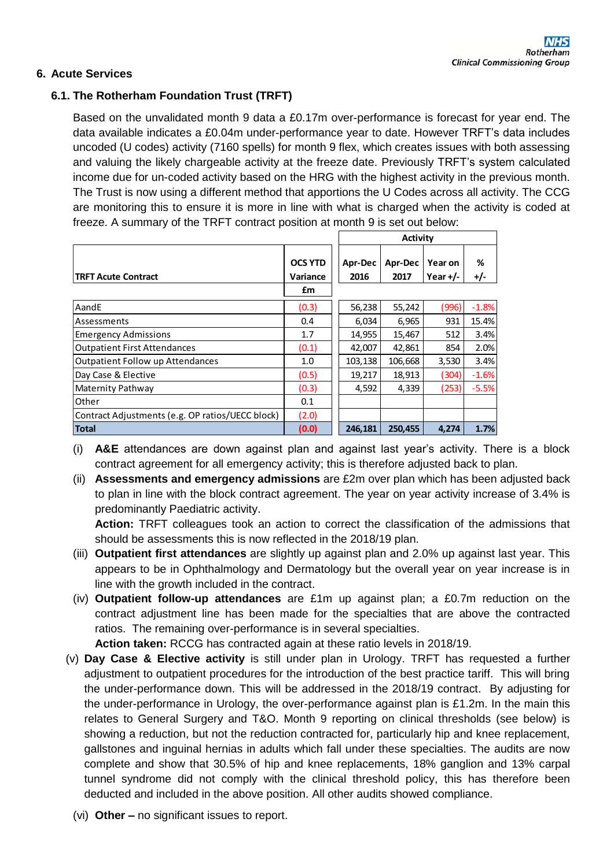# **6. Acute Services**

# **6.1. The Rotherham Foundation Trust (TRFT)**

Based on the unvalidated month 9 data a £0.17m over-performance is forecast for year end. The data available indicates a £0.04m under-performance year to date. However TRFT's data includes uncoded (U codes) activity (7160 spells) for month 9 flex, which creates issues with both assessing and valuing the likely chargeable activity at the freeze date. Previously TRFT's system calculated income due for un-coded activity based on the HRG with the highest activity in the previous month. The Trust is now using a different method that apportions the U Codes across all activity. The CCG are monitoring this to ensure it is more in line with what is charged when the activity is coded at freeze. A summary of the TRFT contract position at month 9 is set out below:

|                                                  |                                  | Activity        |                 |                       |          |
|--------------------------------------------------|----------------------------------|-----------------|-----------------|-----------------------|----------|
| <b>TRFT Acute Contract</b>                       | <b>OCS YTD</b><br>Variance<br>£m | Apr-Dec<br>2016 | Apr-Dec<br>2017 | Year on<br>Year $+/-$ | %<br>+/- |
| AandE                                            | (0.3)                            | 56,238          | 55,242          | (996)                 | $-1.8%$  |
| Assessments                                      | 0.4                              | 6,034           | 6,965           | 931                   | 15.4%    |
| <b>Emergency Admissions</b>                      | 1.7                              | 14,955          | 15,467          | 512                   | 3.4%     |
| <b>Outpatient First Attendances</b>              | (0.1)                            | 42,007          | 42,861          | 854                   | 2.0%     |
| Outpatient Follow up Attendances                 | 1.0                              | 103,138         | 106,668         | 3,530                 | 3.4%     |
| Day Case & Elective                              | (0.5)                            | 19,217          | 18,913          | (304)                 | $-1.6%$  |
| Maternity Pathway                                | (0.3)                            | 4,592           | 4,339           | (253)                 | $-5.5%$  |
| Other                                            | 0.1                              |                 |                 |                       |          |
| Contract Adjustments (e.g. OP ratios/UECC block) | (2.0)                            |                 |                 |                       |          |
| <b>Total</b>                                     | (0.0)                            | 246,181         | 250,455         | 4,274                 | 1.7%     |

(i) **A&E** attendances are down against plan and against last year's activity. There is a block contract agreement for all emergency activity; this is therefore adjusted back to plan.

(ii) **Assessments and emergency admissions** are £2m over plan which has been adjusted back to plan in line with the block contract agreement. The year on year activity increase of 3.4% is predominantly Paediatric activity.

**Action:** TRFT colleagues took an action to correct the classification of the admissions that should be assessments this is now reflected in the 2018/19 plan.

- (iii) **Outpatient first attendances** are slightly up against plan and 2.0% up against last year. This appears to be in Ophthalmology and Dermatology but the overall year on year increase is in line with the growth included in the contract.
- (iv) **Outpatient follow-up attendances** are £1m up against plan; a £0.7m reduction on the contract adjustment line has been made for the specialties that are above the contracted ratios. The remaining over-performance is in several specialties.

**Action taken:** RCCG has contracted again at these ratio levels in 2018/19.

- (v) **Day Case & Elective activity** is still under plan in Urology. TRFT has requested a further adjustment to outpatient procedures for the introduction of the best practice tariff. This will bring the under-performance down. This will be addressed in the 2018/19 contract. By adjusting for the under-performance in Urology, the over-performance against plan is £1.2m. In the main this relates to General Surgery and T&O. Month 9 reporting on clinical thresholds (see below) is showing a reduction, but not the reduction contracted for, particularly hip and knee replacement, gallstones and inguinal hernias in adults which fall under these specialties. The audits are now complete and show that 30.5% of hip and knee replacements, 18% ganglion and 13% carpal tunnel syndrome did not comply with the clinical threshold policy, this has therefore been deducted and included in the above position. All other audits showed compliance.
	- (vi) **Other –** no significant issues to report.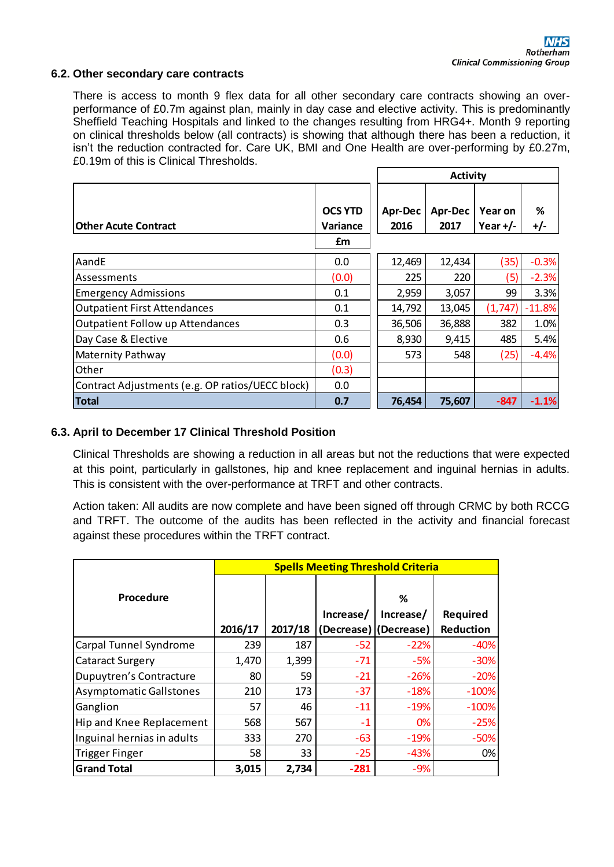#### **6.2. Other secondary care contracts**

There is access to month 9 flex data for all other secondary care contracts showing an overperformance of £0.7m against plan, mainly in day case and elective activity. This is predominantly Sheffield Teaching Hospitals and linked to the changes resulting from HRG4+. Month 9 reporting on clinical thresholds below (all contracts) is showing that although there has been a reduction, it isn't the reduction contracted for. Care UK, BMI and One Health are over-performing by £0.27m, £0.19m of this is Clinical Thresholds.

|                                                  | <b>OCS YTD</b> | Apr-Dec | Apr-Dec | Year on    | %        |
|--------------------------------------------------|----------------|---------|---------|------------|----------|
| <b>Other Acute Contract</b>                      | Variance       | 2016    | 2017    | Year $+/-$ | $+/-$    |
|                                                  | £m             |         |         |            |          |
| AandE                                            | 0.0            | 12,469  | 12,434  | (35)       | $-0.3%$  |
| Assessments                                      | (0.0)          | 225     | 220     | 5)         | $-2.3%$  |
| <b>Emergency Admissions</b>                      | 0.1            | 2,959   | 3,057   | 99         | 3.3%     |
| <b>Outpatient First Attendances</b>              | 0.1            | 14,792  | 13,045  | (1, 747)   | $-11.8%$ |
| Outpatient Follow up Attendances                 | 0.3            | 36,506  | 36,888  | 382        | 1.0%     |
| Day Case & Elective                              | 0.6            | 8,930   | 9,415   | 485        | 5.4%     |
| Maternity Pathway                                | (0.0)          | 573     | 548     | (25)       | $-4.4%$  |
| Other                                            | (0.3)          |         |         |            |          |
| Contract Adjustments (e.g. OP ratios/UECC block) | 0.0            |         |         |            |          |
| <b>Total</b>                                     | 0.7            | 76,454  | 75,607  | $-847$     | $-1.1%$  |

#### **6.3. April to December 17 Clinical Threshold Position**

Clinical Thresholds are showing a reduction in all areas but not the reductions that were expected at this point, particularly in gallstones, hip and knee replacement and inguinal hernias in adults. This is consistent with the over-performance at TRFT and other contracts.

Action taken: All audits are now complete and have been signed off through CRMC by both RCCG and TRFT. The outcome of the audits has been reflected in the activity and financial forecast against these procedures within the TRFT contract.

|                                | <b>Spells Meeting Threshold Criteria</b> |         |            |                |                  |  |  |  |
|--------------------------------|------------------------------------------|---------|------------|----------------|------------------|--|--|--|
| Procedure                      |                                          |         | Increase/  | ℅<br>Increase/ | <b>Required</b>  |  |  |  |
|                                | 2016/17                                  | 2017/18 | (Decrease) | (Decrease)     | <b>Reduction</b> |  |  |  |
| Carpal Tunnel Syndrome         | 239                                      | 187     | $-52$      | $-22%$         | $-40%$           |  |  |  |
| <b>Cataract Surgery</b>        | 1,470                                    | 1,399   | $-71$      | $-5%$          | $-30%$           |  |  |  |
| <b>Dupuytren's Contracture</b> | 80                                       | 59      | $-21$      | $-26%$         | $-20%$           |  |  |  |
| <b>Asymptomatic Gallstones</b> | 210                                      | 173     | $-37$      | $-18%$         | $-100%$          |  |  |  |
| Ganglion                       | 57                                       | 46      | $-11$      | $-19%$         | $-100%$          |  |  |  |
| Hip and Knee Replacement       | 568                                      | 567     | $-1$       | 0%             | $-25%$           |  |  |  |
| Inguinal hernias in adults     | 333                                      | 270     | $-63$      | $-19%$         | $-50%$           |  |  |  |
| <b>Trigger Finger</b>          | 58                                       | 33      | $-25$      | $-43%$         | 0%               |  |  |  |
| <b>Grand Total</b>             | 3,015                                    | 2,734   | $-281$     | $-9%$          |                  |  |  |  |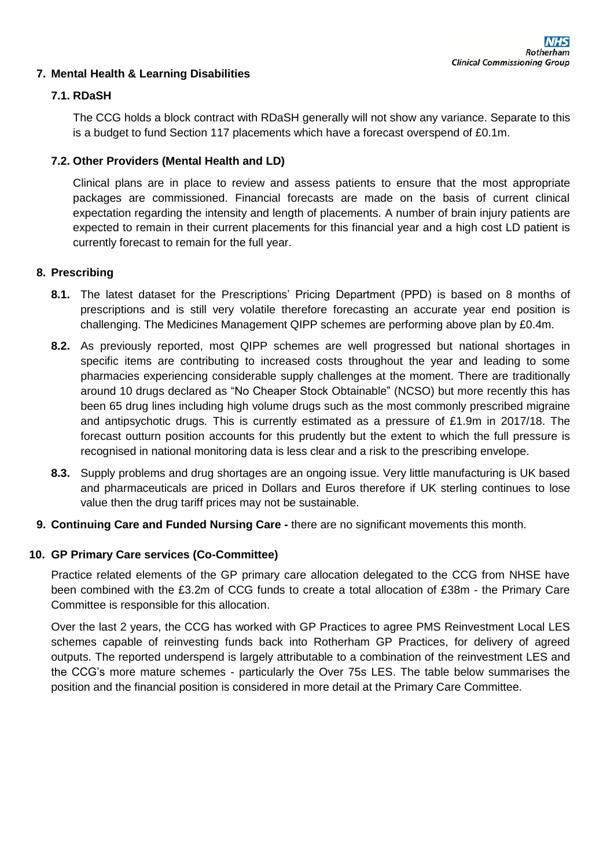# **7. Mental Health & Learning Disabilities**

# **7.1. RDaSH**

The CCG holds a block contract with RDaSH generally will not show any variance. Separate to this is a budget to fund Section 117 placements which have a forecast overspend of £0.1m.

# **7.2. Other Providers (Mental Health and LD)**

Clinical plans are in place to review and assess patients to ensure that the most appropriate packages are commissioned. Financial forecasts are made on the basis of current clinical expectation regarding the intensity and length of placements. A number of brain injury patients are expected to remain in their current placements for this financial year and a high cost LD patient is currently forecast to remain for the full year.

# **8. Prescribing**

- **8.1.** The latest dataset for the Prescriptions' Pricing Department (PPD) is based on 8 months of prescriptions and is still very volatile therefore forecasting an accurate year end position is challenging. The Medicines Management QIPP schemes are performing above plan by £0.4m.
- **8.2.** As previously reported, most QIPP schemes are well progressed but national shortages in specific items are contributing to increased costs throughout the year and leading to some pharmacies experiencing considerable supply challenges at the moment. There are traditionally around 10 drugs declared as "No Cheaper Stock Obtainable" (NCSO) but more recently this has been 65 drug lines including high volume drugs such as the most commonly prescribed migraine and antipsychotic drugs. This is currently estimated as a pressure of £1.9m in 2017/18. The forecast outturn position accounts for this prudently but the extent to which the full pressure is recognised in national monitoring data is less clear and a risk to the prescribing envelope.
- **8.3.** Supply problems and drug shortages are an ongoing issue. Very little manufacturing is UK based and pharmaceuticals are priced in Dollars and Euros therefore if UK sterling continues to lose value then the drug tariff prices may not be sustainable.
- **9. Continuing Care and Funded Nursing Care -** there are no significant movements this month.

### **10. GP Primary Care services (Co-Committee)**

Practice related elements of the GP primary care allocation delegated to the CCG from NHSE have been combined with the £3.2m of CCG funds to create a total allocation of £38m - the Primary Care Committee is responsible for this allocation.

Over the last 2 years, the CCG has worked with GP Practices to agree PMS Reinvestment Local LES schemes capable of reinvesting funds back into Rotherham GP Practices, for delivery of agreed outputs. The reported underspend is largely attributable to a combination of the reinvestment LES and the CCG's more mature schemes - particularly the Over 75s LES. The table below summarises the position and the financial position is considered in more detail at the Primary Care Committee.